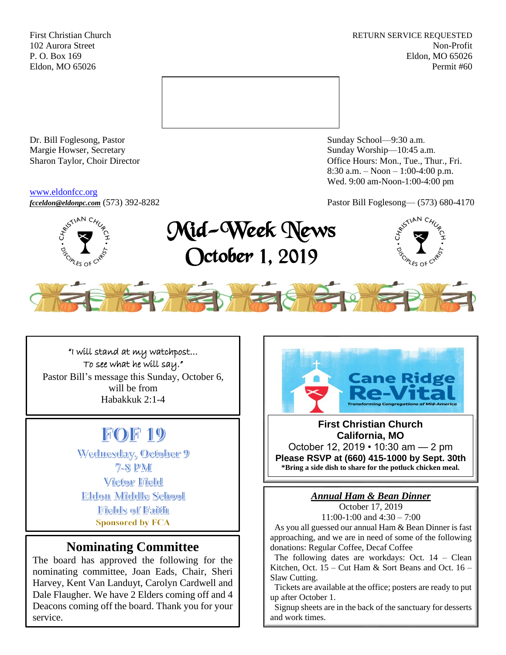First Christian Church **RETURN SERVICE REQUESTED** 102 Aurora Street Non-Profit P. O. Box 169 Eldon, MO 65026 Eldon, MO 65026 Permit #60



Dr. Bill Foglesong, Pastor Sunday School—9:30 a.m. Margie Howser, Secretary Sunday Worship—10:45 a.m.

#### [www.eldonfcc.org](http://www.eldonfcc.org/)

Sharon Taylor, Choir Director **Channel Controllering Controllering Controllering Controllering Controllering Controllering Controllering Controllering Controllering Controllering Controllering Controllering Controllering C** 8:30 a.m. – Noon – 1:00-4:00 p.m. Wed. 9:00 am-Noon-1:00-4:00 pm

*[fcceldon@eldonpc.com](mailto:fcceldon@eldonpc.com)* (573) 392-8282 Pastor Bill Foglesong— (573) 680-4170



# Mid-Week News October 1, 2019





#### "I will stand at my watchpost… To see what he will say." Pastor Bill's message this Sunday, October 6, will be from Habakkuk 2:1-4

# **FOF 19**

Wednesday, October 9  $7 - 8$  PM Victor Field Eldon Middle School Fields of Faith **Sponsored by FCA** 

# **Nominating Committee**

The board has approved the following for the nominating committee, Joan Eads, Chair, Sheri Harvey, Kent Van Landuyt, Carolyn Cardwell and Dale Flaugher. We have 2 Elders coming off and 4 Deacons coming off the board. Thank you for your service.



**First Christian Church California, MO** October 12, 2019 • 10:30 am — 2 pm **Please RSVP at (660) 415-1000 by Sept. 30th \*Bring a side dish to share for the potluck chicken meal.**

# *Annual Ham & Bean Dinner*

October 17, 2019 11:00-1:00 and 4:30 – 7:00

 As you all guessed our annual Ham & Bean Dinner is fast approaching, and we are in need of some of the following donations: Regular Coffee, Decaf Coffee

The following dates are workdays: Oct.  $14$  – Clean Kitchen, Oct.  $15 -$ Cut Ham & Sort Beans and Oct.  $16 -$ Slaw Cutting.

 Tickets are available at the office; posters are ready to put up after October 1.

 Signup sheets are in the back of the sanctuary for desserts and work times.